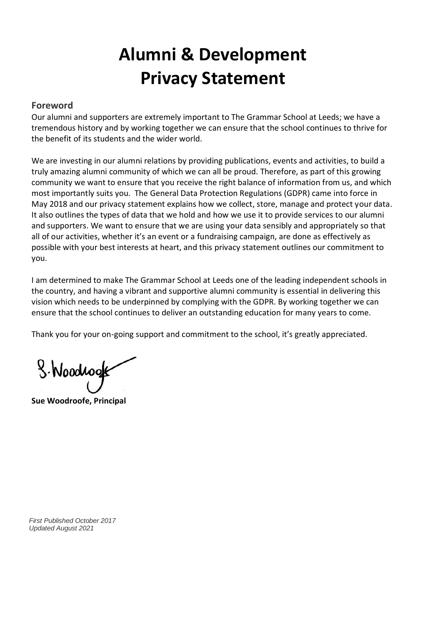# **Alumni & Development Privacy Statement**

# **Foreword**

Our alumni and supporters are extremely important to The Grammar School at Leeds; we have a tremendous history and by working together we can ensure that the school continues to thrive for the benefit of its students and the wider world.

We are investing in our alumni relations by providing publications, events and activities, to build a truly amazing alumni community of which we can all be proud. Therefore, as part of this growing community we want to ensure that you receive the right balance of information from us, and which most importantly suits you. The General Data Protection Regulations (GDPR) came into force in May 2018 and our privacy statement explains how we collect, store, manage and protect your data. It also outlines the types of data that we hold and how we use it to provide services to our alumni and supporters. We want to ensure that we are using your data sensibly and appropriately so that all of our activities, whether it's an event or a fundraising campaign, are done as effectively as possible with your best interests at heart, and this privacy statement outlines our commitment to you.

I am determined to make The Grammar School at Leeds one of the leading independent schools in the country, and having a vibrant and supportive alumni community is essential in delivering this vision which needs to be underpinned by complying with the GDPR. By working together we can ensure that the school continues to deliver an outstanding education for many years to come.

Thank you for your on-going support and commitment to the school, it's greatly appreciated.

S. Woodwook

**Sue Woodroofe, Principal**

*First Published October 2017 Updated August 2021*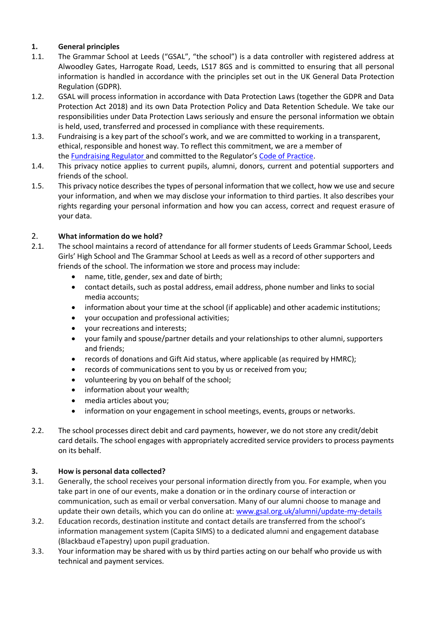## **1. General principles**

- 1.1. The Grammar School at Leeds ("GSAL", "the school") is a data controller with registered address at Alwoodley Gates, Harrogate Road, Leeds, LS17 8GS and is committed to ensuring that all personal information is handled in accordance with the principles set out in the UK General Data Protection Regulation (GDPR).
- 1.2. GSAL will process information in accordance with Data Protection Laws (together the GDPR and Data Protection Act 2018) and its own Data Protection Policy and Data Retention Schedule. We take our responsibilities under Data Protection Laws seriously and ensure the personal information we obtain is held, used, transferred and processed in compliance with these requirements.
- 1.3. Fundraising is a key part of the school's work, and we are committed to working in a transparent, ethical, responsible and honest way. To reflect this commitment, we are a member of the **[Fundraising Regulator](https://www.fundraisingregulator.org.uk/)** and committed to the Regulator's [Code of Practice.](https://www.fundraisingregulator.org.uk/code-of-fundraising-practice/code-of-fundraising-practice/)
- 1.4. This privacy notice applies to current pupils, alumni, donors, current and potential supporters and friends of the school.
- 1.5. This privacy notice describes the types of personal information that we collect, how we use and secure your information, and when we may disclose your information to third parties. It also describes your rights regarding your personal information and how you can access, correct and request erasure of your data.

### 2. **What information do we hold?**

- 2.1. The school maintains a record of attendance for all former students of Leeds Grammar School, Leeds Girls' High School and The Grammar School at Leeds as well as a record of other supporters and friends of the school. The information we store and process may include:
	- name, title, gender, sex and date of birth;
	- contact details, such as postal address, email address, phone number and links to social media accounts;
	- information about your time at the school (if applicable) and other academic institutions;
	- your occupation and professional activities;
	- your recreations and interests;
	- your family and spouse/partner details and your relationships to other alumni, supporters and friends;
	- records of donations and Gift Aid status, where applicable (as required by HMRC);
	- records of communications sent to you by us or received from you;
	- volunteering by you on behalf of the school;
	- information about your wealth;
	- media articles about you;
	- information on your engagement in school meetings, events, groups or networks.
- 2.2. The school processes direct debit and card payments, however, we do not store any credit/debit card details. The school engages with appropriately accredited service providers to process payments on its behalf.

### **3. How is personal data collected?**

- 3.1. Generally, the school receives your personal information directly from you. For example, when you take part in one of our events, make a donation or in the ordinary course of interaction or communication, such as email or verbal conversation. Many of our alumni choose to manage and update their own details, which you can do online at: [www.gsal.org.uk/alumni/update-my-details](http://www.gsal.org.uk/alumni/update-my-details)
- 3.2. Education records, destination institute and contact details are transferred from the school's information management system (Capita SIMS) to a dedicated alumni and engagement database (Blackbaud eTapestry) upon pupil graduation.
- 3.3. Your information may be shared with us by third parties acting on our behalf who provide us with technical and payment services.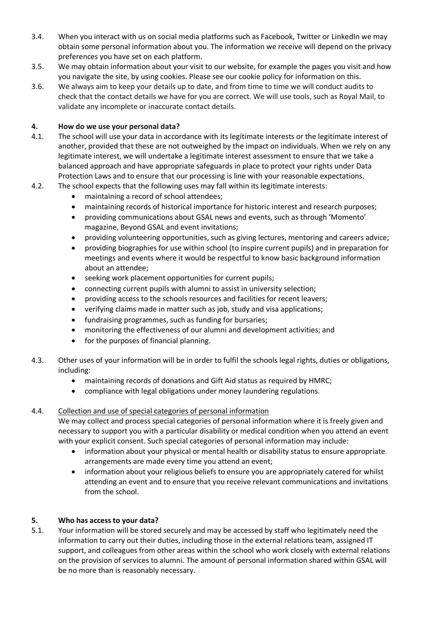- 3.4. When you interact with us on social media platforms such as Facebook, Twitter or LinkedIn we may obtain some personal information about you. The information we receive will depend on the privacy preferences you have set on each platform.
- 3.5. We may obtain information about your visit to our website, for example the pages you visit and how you navigate the site, by using cookies. Please see our cookie policy for information on this.
- 3.6. We always aim to keep your details up to date, and from time to time we will conduct audits to check that the contact details we have for you are correct. We will use tools, such as Royal Mail, to validate any incomplete or inaccurate contact details.

## **4. How do we use your personal data?**

- 4.1. The school will use your data in accordance with its legitimate interests or the legitimate interest of another, provided that these are not outweighed by the impact on individuals. When we rely on any legitimate interest, we will undertake a legitimate interest assessment to ensure that we take a balanced approach and have appropriate safeguards in place to protect your rights under Data Protection Laws and to ensure that our processing is line with your reasonable expectations.
- 4.2. The school expects that the following uses may fall within its legitimate interests:
	- maintaining a record of school attendees;
	- maintaining records of historical importance for historic interest and research purposes;
	- providing communications about GSAL news and events, such as through 'Momento' magazine, Beyond GSAL and event invitations;
	- providing volunteering opportunities, such as giving lectures, mentoring and careers advice;
	- providing biographies for use within school (to inspire current pupils) and in preparation for meetings and events where it would be respectful to know basic background information about an attendee;
	- seeking work placement opportunities for current pupils;
	- connecting current pupils with alumni to assist in university selection;
	- providing access to the schools resources and facilities for recent leavers;
	- verifying claims made in matter such as job, study and visa applications;
	- fundraising programmes, such as funding for bursaries;
	- monitoring the effectiveness of our alumni and development activities; and
	- for the purposes of financial planning.
- 4.3. Other uses of your information will be in order to fulfil the schools legal rights, duties or obligations, including:
	- maintaining records of donations and Gift Aid status as required by HMRC;
	- compliance with legal obligations under money laundering regulations.

### 4.4. Collection and use of special categories of personal information

We may collect and process special categories of personal information where it is freely given and necessary to support you with a particular disability or medical condition when you attend an event with your explicit consent. Such special categories of personal information may include:

- information about your physical or mental health or disability status to ensure appropriate arrangements are made every time you attend an event;
- information about your religious beliefs to ensure you are appropriately catered for whilst attending an event and to ensure that you receive relevant communications and invitations from the school.

## **5. Who has access to your data?**

5.1. Your information will be stored securely and may be accessed by staff who legitimately need the information to carry out their duties, including those in the external relations team, assigned IT support, and colleagues from other areas within the school who work closely with external relations on the provision of services to alumni. The amount of personal information shared within GSAL will be no more than is reasonably necessary.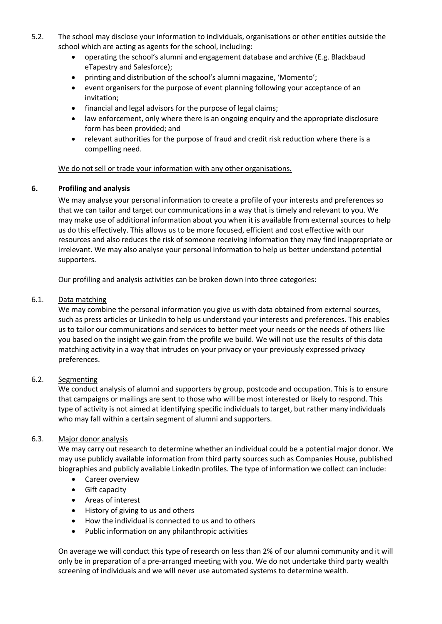- 5.2. The school may disclose your information to individuals, organisations or other entities outside the school which are acting as agents for the school, including:
	- operating the school's alumni and engagement database and archive (E.g. Blackbaud eTapestry and Salesforce);
	- printing and distribution of the school's alumni magazine, 'Momento';
	- event organisers for the purpose of event planning following your acceptance of an invitation;
	- financial and legal advisors for the purpose of legal claims;
	- law enforcement, only where there is an ongoing enquiry and the appropriate disclosure form has been provided; and
	- relevant authorities for the purpose of fraud and credit risk reduction where there is a compelling need.

### We do not sell or trade your information with any other organisations.

### **6. Profiling and analysis**

We may analyse your personal information to create a profile of your interests and preferences so that we can tailor and target our communications in a way that is timely and relevant to you. We may make use of additional information about you when it is available from external sources to help us do this effectively. This allows us to be more focused, efficient and cost effective with our resources and also reduces the risk of someone receiving information they may find inappropriate or irrelevant. We may also analyse your personal information to help us better understand potential supporters.

Our profiling and analysis activities can be broken down into three categories:

#### 6.1. Data matching

We may combine the personal information you give us with data obtained from external sources, such as press articles or LinkedIn to help us understand your interests and preferences. This enables us to tailor our communications and services to better meet your needs or the needs of others like you based on the insight we gain from the profile we build. We will not use the results of this data matching activity in a way that intrudes on your privacy or your previously expressed privacy preferences.

### 6.2. Segmenting

We conduct analysis of alumni and supporters by group, postcode and occupation. This is to ensure that campaigns or mailings are sent to those who will be most interested or likely to respond. This type of activity is not aimed at identifying specific individuals to target, but rather many individuals who may fall within a certain segment of alumni and supporters.

#### 6.3. Major donor analysis

We may carry out research to determine whether an individual could be a potential major donor. We may use publicly available information from third party sources such as Companies House, published biographies and publicly available LinkedIn profiles. The type of information we collect can include:

- Career overview
- Gift capacity
- Areas of interest
- History of giving to us and others
- How the individual is connected to us and to others
- Public information on any philanthropic activities

On average we will conduct this type of research on less than 2% of our alumni community and it will only be in preparation of a pre-arranged meeting with you. We do not undertake third party wealth screening of individuals and we will never use automated systems to determine wealth.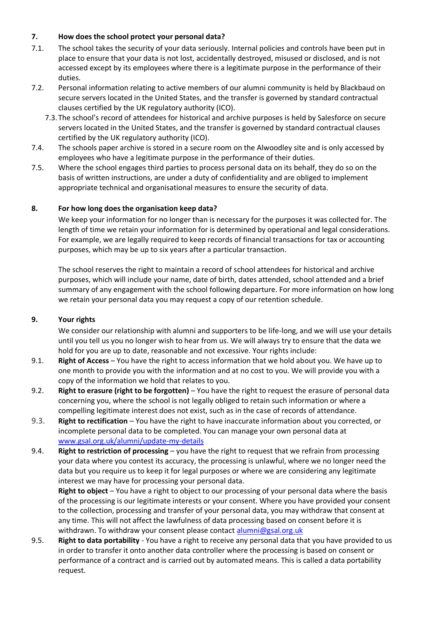## **7. How does the school protect your personal data?**

- 7.1. The school takes the security of your data seriously. Internal policies and controls have been put in place to ensure that your data is not lost, accidentally destroyed, misused or disclosed, and is not accessed except by its employees where there is a legitimate purpose in the performance of their duties.
- 7.2. Personal information relating to active members of our alumni community is held by Blackbaud on secure servers located in the United States, and the transfer is governed by standard contractual clauses certified by the UK regulatory authority (ICO).
	- 7.3.The school's record of attendees for historical and archive purposes is held by Salesforce on secure servers located in the United States, and the transfer is governed by standard contractual clauses certified by the UK regulatory authority (ICO).
- 7.4. The schools paper archive is stored in a secure room on the Alwoodley site and is only accessed by employees who have a legitimate purpose in the performance of their duties.
- 7.5. Where the school engages third parties to process personal data on its behalf, they do so on the basis of written instructions, are under a duty of confidentiality and are obliged to implement appropriate technical and organisational measures to ensure the security of data.

### **8. For how long does the organisation keep data?**

We keep your information for no longer than is necessary for the purposes it was collected for. The length of time we retain your information for is determined by operational and legal considerations. For example, we are legally required to keep records of financial transactions for tax or accounting purposes, which may be up to six years after a particular transaction.

The school reserves the right to maintain a record of school attendees for historical and archive purposes, which will include your name, date of birth, dates attended, school attended and a brief summary of any engagement with the school following departure. For more information on how long we retain your personal data you may request a copy of our retention schedule.

### **9. Your rights**

We consider our relationship with alumni and supporters to be life-long, and we will use your details until you tell us you no longer wish to hear from us. We will always try to ensure that the data we hold for you are up to date, reasonable and not excessive. Your rights include:

- 9.1. **Right of Access** You have the right to access information that we hold about you. We have up to one month to provide you with the information and at no cost to you. We will provide you with a copy of the information we hold that relates to you.
- 9.2. **Right to erasure (right to be forgotten)**  You have the right to request the erasure of personal data concerning you, where the school is not legally obliged to retain such information or where a compelling legitimate interest does not exist, such as in the case of records of attendance.
- 9.3. **Right to rectification** You have the right to have inaccurate information about you corrected, or incomplete personal data to be completed. You can manage your own personal data at [www.gsal.org.uk/alumni/update-my-details](http://www.gsal.org.uk/alumni/update-my-details)
- 9.4. **Right to restriction of processing** you have the right to request that we refrain from processing your data where you contest its accuracy, the processing is unlawful, where we no longer need the data but you require us to keep it for legal purposes or where we are considering any legitimate interest we may have for processing your personal data.

**Right to object** – You have a right to object to our processing of your personal data where the basis of the processing is our legitimate interests or your consent. Where you have provided your consent to the collection, processing and transfer of your personal data, you may withdraw that consent at any time. This will not affect the lawfulness of data processing based on consent before it is withdrawn. To withdraw your consent please contact [alumni@gsal.org.uk](mailto:alumni@gsal.org.uk)

9.5. **Right to data portability** - You have a right to receive any personal data that you have provided to us in order to transfer it onto another data controller where the processing is based on consent or performance of a contract and is carried out by automated means. This is called a data portability request.